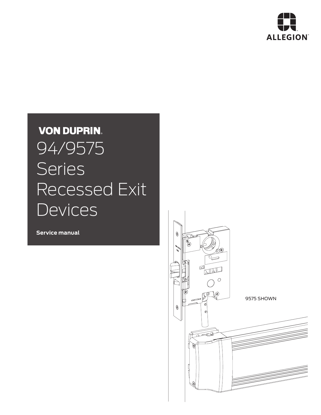

# **VON DUPRIN.** 94/9575 Series Recessed Exit **Devices**

**Service manual**

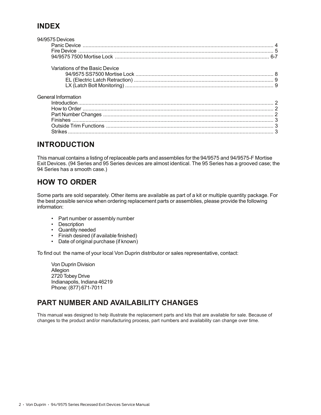#### **INDEX**

| 94/9575 Devices                |  |
|--------------------------------|--|
|                                |  |
|                                |  |
|                                |  |
| Variations of the Basic Device |  |
|                                |  |
|                                |  |
|                                |  |
| General Information            |  |
|                                |  |
|                                |  |
|                                |  |
|                                |  |
|                                |  |
|                                |  |
|                                |  |

#### **INTRODUCTION**

This manual contains a listing of replaceable parts and assemblies for the 94/9575 and 94/9575-F Mortise Exit Devices. (94 Series and 95 Series devices are almost identical. The 95 Series has a grooved case; the 94 Series has a smooth case.)

### **HOW TO ORDER**

Some parts are sold separately. Other items are available as part of a kit or multiple quantity package. For the best possible service when ordering replacement parts or assemblies, please provide the following information:

- Part number or assembly number
- Description
- Quantity needed
- Finish desired (if available finished)
- Date of original purchase (if known)

To find out the name of your local Von Duprin distributor or sales representative, contact:

Von Duprin Division Allegion 2720 Tobey Drive Indianapolis, Indiana 46219 Phone: (877) 671-7011

#### **PART NUMBER AND AVAILABILITY CHANGES**

This manual was designed to help illustrate the replacement parts and kits that are available for sale. Because of changes to the product and/or manufacturing process, part numbers and availability can change over time.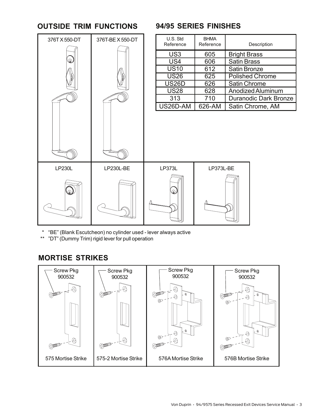#### **OUTSIDE TRIM FUNCTIONS**



#### **94/95 SERIES FINISHES**

| U.S. Std<br>Reference | <b>BHMA</b><br>Reference | Description                  |
|-----------------------|--------------------------|------------------------------|
| US <sub>3</sub>       | 605                      | <b>Bright Brass</b>          |
| US4                   | 606                      | <b>Satin Brass</b>           |
| <b>US10</b>           | 612                      | <b>Satin Bronze</b>          |
| <b>US26</b>           | 625                      | <b>Polished Chrome</b>       |
| <b>US26D</b>          | 626                      | Satin Chrome                 |
| <b>US28</b>           | 628                      | <b>Anodized Aluminum</b>     |
| 313                   | 710                      | <b>Duranodic Dark Bronze</b> |
| US26D-AM              | 626-AM                   | Satin Chrome, AM             |

\* "BE" (Blank Escutcheon) no cylinder used - lever always active

\*\* "DT" (Dummy Trim) rigid lever for pull operation

#### **MORTISE STRIKES**

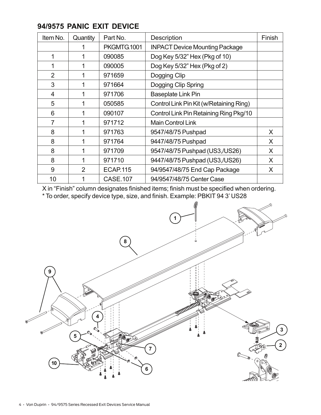| Item No.       | Quantity       | Part No.        | <b>Description</b>                      | Finish |
|----------------|----------------|-----------------|-----------------------------------------|--------|
|                |                | PKGMTG.1001     | <b>INPACT Device Mounting Package</b>   |        |
| 1              |                | 090085          | Dog Key 5/32" Hex (Pkg of 10)           |        |
|                |                | 090005          | Dog Key 5/32" Hex (Pkg of 2)            |        |
| $\overline{2}$ |                | 971659          | Dogging Clip                            |        |
| 3              | 1              | 971664          | Dogging Clip Spring                     |        |
| 4              |                | 971706          | <b>Baseplate Link Pin</b>               |        |
| 5              |                | 050585          | Control Link Pin Kit (w/Retaining Ring) |        |
| 6              | 1              | 090107          | Control Link Pin Retaining Ring Pkg/10  |        |
| $\overline{7}$ |                | 971712          | <b>Main Control Link</b>                |        |
| 8              |                | 971763          | 9547/48/75 Pushpad                      | X      |
| 8              |                | 971764          | 9447/48/75 Pushpad                      | X      |
| 8              | 1              | 971709          | 9547/48/75 Pushpad (US3,/US26)          | X      |
| 8              |                | 971710          | 9447/48/75 Pushpad (US3,/US26)          | X.     |
| 9              | $\overline{2}$ | <b>ECAP.115</b> | 94/9547/48/75 End Cap Package           | X      |
| 10             |                | <b>CASE.107</b> | 94/9547/48/75 Center Case               |        |

#### **94/9575 PANIC EXIT DEVICE**

X in "Finish" column designates finished items; finish must be specified when ordering. \* To order, specify device type, size, and finish. Example: PBKIT 94 3' US28

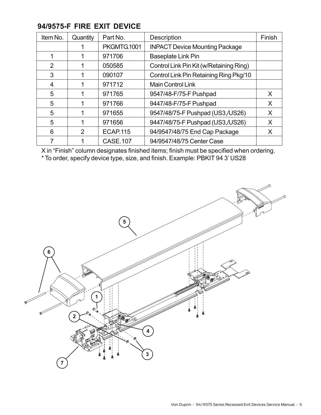| Item No.       | Quantity | Part No.        | Description                             | Finish |
|----------------|----------|-----------------|-----------------------------------------|--------|
|                |          | PKGMTG.1001     | <b>INPACT Device Mounting Package</b>   |        |
|                |          | 971706          | Baseplate Link Pin                      |        |
| $\overline{2}$ |          | 050585          | Control Link Pin Kit (w/Retaining Ring) |        |
| 3              |          | 090107          | Control Link Pin Retaining Ring Pkg/10  |        |
| 4              |          | 971712          | <b>Main Control Link</b>                |        |
| 5              |          | 971765          | 9547/48-F/75-F Pushpad                  | X      |
| 5              |          | 971766          | 9447/48-F/75-F Pushpad                  | X      |
| 5              |          | 971655          | 9547/48/75-F Pushpad (US3,/US26)        | X      |
| 5              |          | 971656          | 9447/48/75-F Pushpad (US3,/US26)        | X      |
| 6              | 2        | <b>ECAP.115</b> | 94/9547/48/75 End Cap Package           |        |
|                |          | <b>CASE.107</b> | 94/9547/48/75 Center Case               |        |

#### **94/9575-F FIRE EXIT DEVICE**

X in "Finish" column designates finished items; finish must be specified when ordering. \* To order, specify device type, size, and finish. Example: PBKIT 94 3' US28

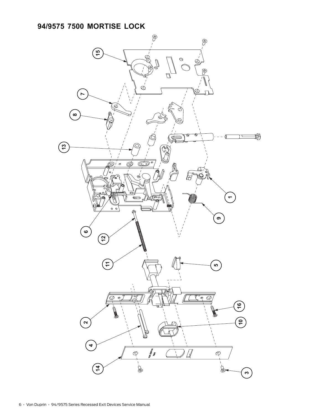## **94/9575 7500 MORTISE LOCK**

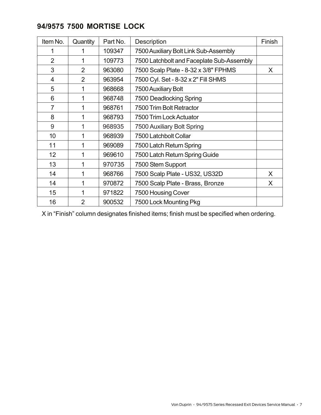| 94/9575 7500 MORTISE LOCK |  |  |  |
|---------------------------|--|--|--|
|---------------------------|--|--|--|

| Item No.        | Quantity       | Part No. | Description                               | Finish |
|-----------------|----------------|----------|-------------------------------------------|--------|
|                 |                | 109347   | 7500 Auxiliary Bolt Link Sub-Assembly     |        |
| $\overline{2}$  | 1              | 109773   | 7500 Latchbolt and Faceplate Sub-Assembly |        |
| 3               | $\overline{2}$ | 963080   | 7500 Scalp Plate - 8-32 x 3/8" FPHMS      | X.     |
| $\overline{4}$  | $\overline{2}$ | 963954   | 7500 Cyl. Set - 8-32 x 2" Fill SHMS       |        |
| 5               | 1              | 968668   | 7500 Auxiliary Bolt                       |        |
| 6               | 1              | 968748   | 7500 Deadlocking Spring                   |        |
| $\overline{7}$  | 1              | 968761   | 7500 Trim Bolt Retractor                  |        |
| 8               | 1              | 968793   | 7500 Trim Lock Actuator                   |        |
| 9               | 1              | 968935   | 7500 Auxiliary Bolt Spring                |        |
| 10              | 1              | 968939   | 7500 Latchbolt Collar                     |        |
| 11              | 1              | 969089   | 7500 Latch Return Spring                  |        |
| 12 <sup>2</sup> | 1              | 969610   | 7500 Latch Return Spring Guide            |        |
| 13              | 1              | 970735   | 7500 Stem Support                         |        |
| 14              | 1              | 968766   | 7500 Scalp Plate - US32, US32D            | X      |
| 14              | 1              | 970872   | 7500 Scalp Plate - Brass, Bronze          | X      |
| 15              | 1              | 971822   | 7500 Housing Cover                        |        |
| 16              | $\overline{2}$ | 900532   | 7500 Lock Mounting Pkg                    |        |

X in "Finish" column designates finished items; finish must be specified when ordering.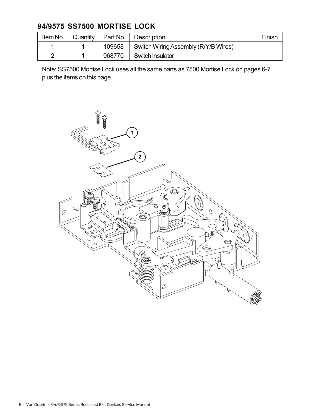# **94/9575 SS7500 MORTISE LOCK**

| Item No. | Quantity | Part No. | Description                          | Finish |
|----------|----------|----------|--------------------------------------|--------|
|          |          | 109658   | Switch Wiring Assembly (R/Y/B Wires) |        |
| ◠        |          | 968770   | <b>Switch Insulator</b>              |        |

Note: SS7500 Mortise Lock uses all the same parts as 7500 Mortise Lock on pages 6-7 plus the items on this page.

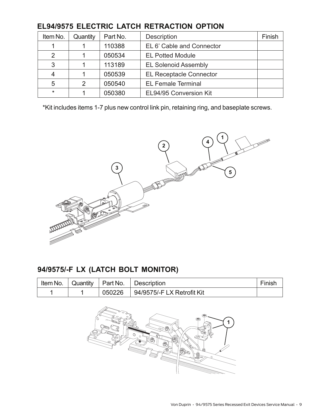| Item No. | Quantity | Part No. | <b>Description</b>             | Finish |
|----------|----------|----------|--------------------------------|--------|
|          |          | 110388   | EL 6' Cable and Connector      |        |
| 2        |          | 050534   | <b>EL Potted Module</b>        |        |
| 3        |          | 113189   | <b>EL Solenoid Assembly</b>    |        |
| 4        |          | 050539   | <b>EL Receptacle Connector</b> |        |
| 5        | 2        | 050540   | <b>EL Female Terminal</b>      |        |
| $\star$  |          | 050380   | EL94/95 Conversion Kit         |        |

#### **EL94/9575 ELECTRIC LATCH RETRACTION OPTION**

\*Kit includes items 1-7 plus new control link pin, retaining ring, and baseplate screws.



# **94/9575/-F LX (LATCH BOLT MONITOR)**

|  |        | Item No. $\vert$ Quantity $\vert$ Part No. $\vert$ Description | Finish |
|--|--------|----------------------------------------------------------------|--------|
|  | 050226 | 94/9575/-F LX Retrofit Kit                                     |        |